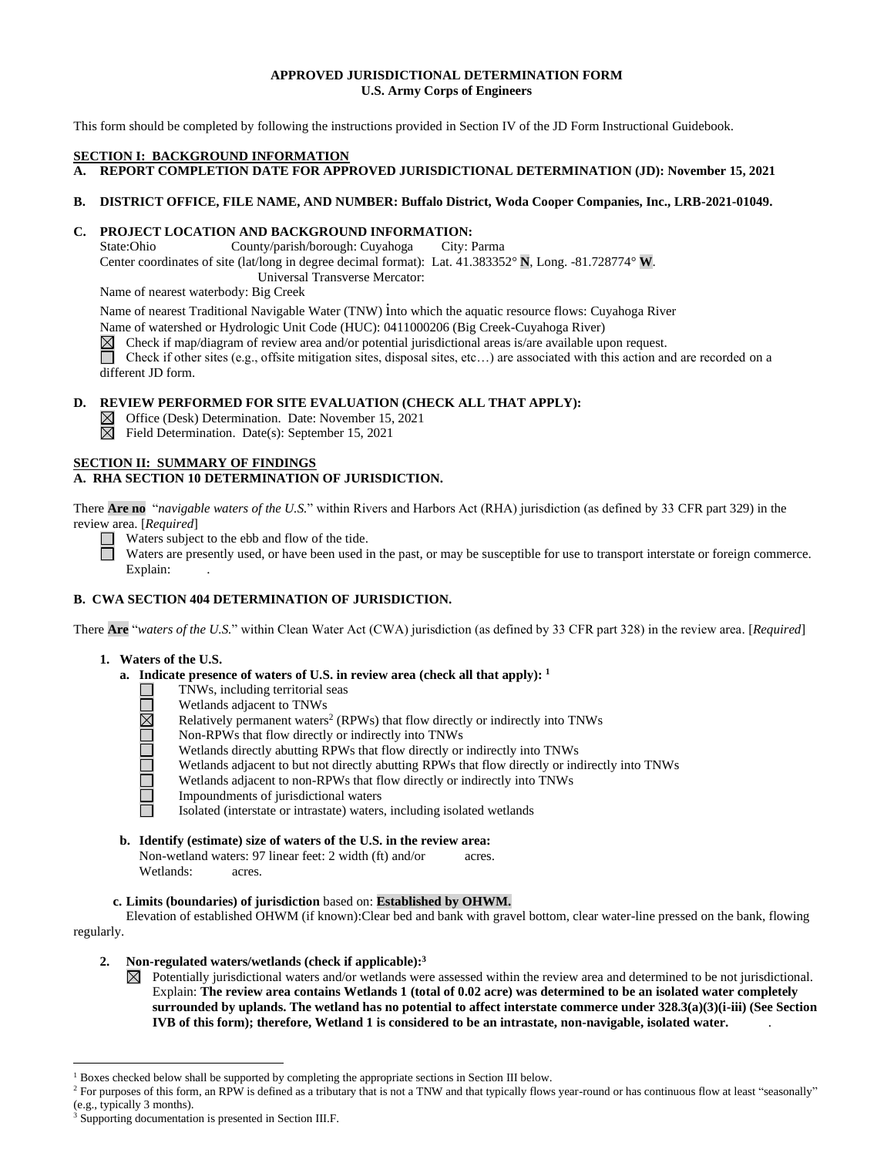### **APPROVED JURISDICTIONAL DETERMINATION FORM U.S. Army Corps of Engineers**

This form should be completed by following the instructions provided in Section IV of the JD Form Instructional Guidebook.

### **SECTION I: BACKGROUND INFORMATION**

**A. REPORT COMPLETION DATE FOR APPROVED JURISDICTIONAL DETERMINATION (JD): November 15, 2021** 

## **B. DISTRICT OFFICE, FILE NAME, AND NUMBER: Buffalo District, Woda Cooper Companies, Inc., LRB-2021-01049.**

## **C. PROJECT LOCATION AND BACKGROUND INFORMATION:**

State:Ohio County/parish/borough: Cuyahoga City: Parma Center coordinates of site (lat/long in degree decimal format): Lat. 41.383352° **N**, Long. -81.728774° **W**.

Universal Transverse Mercator:

Name of nearest waterbody: Big Creek

Name of nearest Traditional Navigable Water (TNW) into which the aquatic resource flows: Cuyahoga River

Name of watershed or Hydrologic Unit Code (HUC): 0411000206 (Big Creek-Cuyahoga River)

 $\boxtimes$ Check if map/diagram of review area and/or potential jurisdictional areas is/are available upon request.

Check if other sites (e.g., offsite mitigation sites, disposal sites, etc…) are associated with this action and are recorded on a different JD form.

## **D. REVIEW PERFORMED FOR SITE EVALUATION (CHECK ALL THAT APPLY):**

 $\boxtimes$  Office (Desk) Determination. Date: November 15, 2021

 $\boxtimes$  Field Determination. Date(s): September 15, 2021

## **SECTION II: SUMMARY OF FINDINGS**

## **A. RHA SECTION 10 DETERMINATION OF JURISDICTION.**

There **Are no** "*navigable waters of the U.S.*" within Rivers and Harbors Act (RHA) jurisdiction (as defined by 33 CFR part 329) in the review area. [*Required*]

Waters subject to the ebb and flow of the tide.

Waters are presently used, or have been used in the past, or may be susceptible for use to transport interstate or foreign commerce. Explain:

# **B. CWA SECTION 404 DETERMINATION OF JURISDICTION.**

There **Are** "*waters of the U.S.*" within Clean Water Act (CWA) jurisdiction (as defined by 33 CFR part 328) in the review area. [*Required*]

## **1. Waters of the U.S.**

- **a. Indicate presence of waters of U.S. in review area (check all that apply): 1**
	- TNWs, including territorial seas  $\Box$ 
		- Wetlands adjacent to TNWs
		- Relatively permanent waters<sup>2</sup> (RPWs) that flow directly or indirectly into TNWs
	- Non-RPWs that flow directly or indirectly into TNWs
		- Wetlands directly abutting RPWs that flow directly or indirectly into TNWs
	- DOODR Wetlands adjacent to but not directly abutting RPWs that flow directly or indirectly into TNWs
		- Wetlands adjacent to non-RPWs that flow directly or indirectly into TNWs
		- Impoundments of jurisdictional waters

Isolated (interstate or intrastate) waters, including isolated wetlands

**b. Identify (estimate) size of waters of the U.S. in the review area:**

Non-wetland waters: 97 linear feet: 2 width (ft) and/or acres. Wetlands: acres.

## **c. Limits (boundaries) of jurisdiction** based on: **Established by OHWM.**

Elevation of established OHWM (if known):Clear bed and bank with gravel bottom, clear water-line pressed on the bank, flowing regularly.

- **2. Non-regulated waters/wetlands (check if applicable): 3**
	- $\boxtimes$  Potentially jurisdictional waters and/or wetlands were assessed within the review area and determined to be not jurisdictional. Explain: **The review area contains Wetlands 1 (total of 0.02 acre) was determined to be an isolated water completely surrounded by uplands. The wetland has no potential to affect interstate commerce under 328.3(a)(3)(i-iii) (See Section IVB of this form); therefore, Wetland 1 is considered to be an intrastate, non-navigable, isolated water.** .

<sup>1</sup> Boxes checked below shall be supported by completing the appropriate sections in Section III below.

<sup>&</sup>lt;sup>2</sup> For purposes of this form, an RPW is defined as a tributary that is not a TNW and that typically flows year-round or has continuous flow at least "seasonally" (e.g., typically 3 months).

<sup>3</sup> Supporting documentation is presented in Section III.F.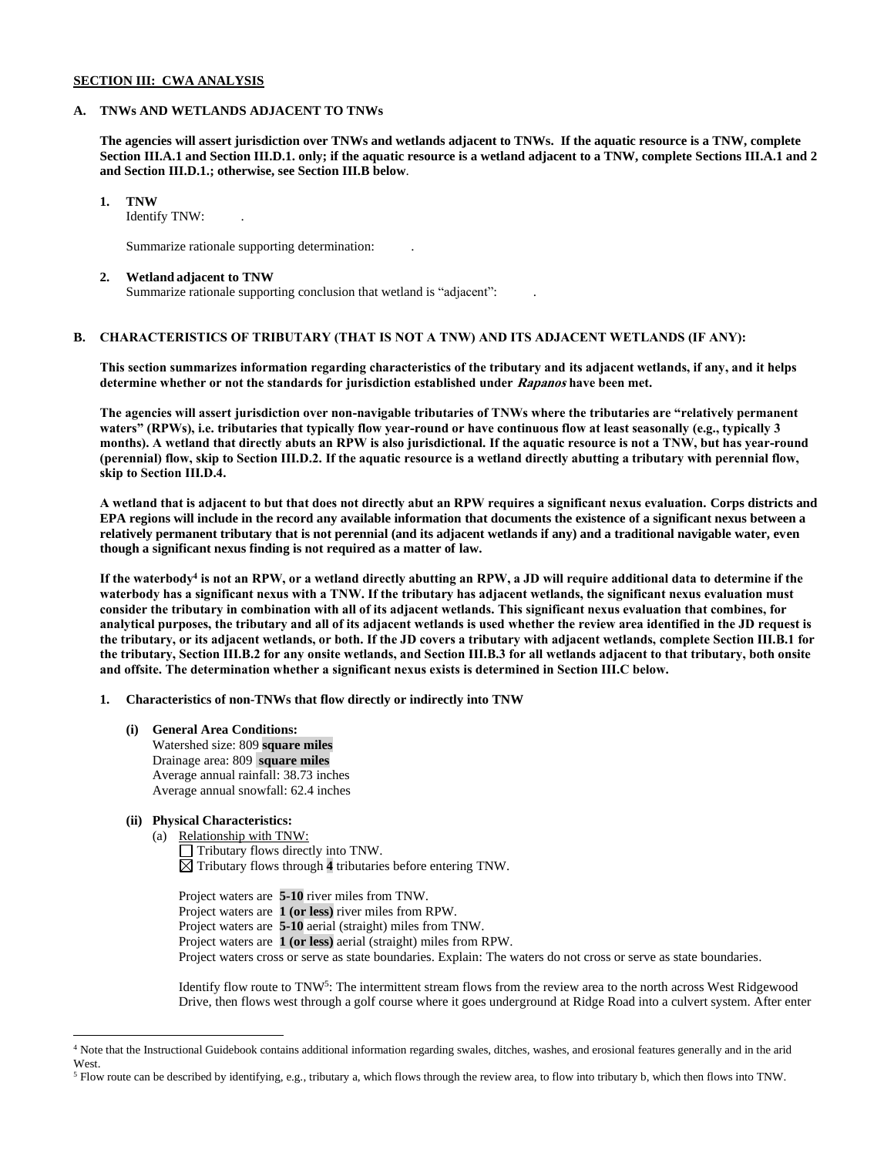### **SECTION III: CWA ANALYSIS**

#### **A. TNWs AND WETLANDS ADJACENT TO TNWs**

**The agencies will assert jurisdiction over TNWs and wetlands adjacent to TNWs. If the aquatic resource is a TNW, complete Section III.A.1 and Section III.D.1. only; if the aquatic resource is a wetland adjacent to a TNW, complete Sections III.A.1 and 2 and Section III.D.1.; otherwise, see Section III.B below**.

**1. TNW** 

Identify TNW: .

Summarize rationale supporting determination: .

#### **2. Wetland adjacent to TNW**

Summarize rationale supporting conclusion that wetland is "adjacent": .

## **B. CHARACTERISTICS OF TRIBUTARY (THAT IS NOT A TNW) AND ITS ADJACENT WETLANDS (IF ANY):**

**This section summarizes information regarding characteristics of the tributary and its adjacent wetlands, if any, and it helps determine whether or not the standards for jurisdiction established under Rapanos have been met.** 

**The agencies will assert jurisdiction over non-navigable tributaries of TNWs where the tributaries are "relatively permanent waters" (RPWs), i.e. tributaries that typically flow year-round or have continuous flow at least seasonally (e.g., typically 3 months). A wetland that directly abuts an RPW is also jurisdictional. If the aquatic resource is not a TNW, but has year-round (perennial) flow, skip to Section III.D.2. If the aquatic resource is a wetland directly abutting a tributary with perennial flow, skip to Section III.D.4.**

**A wetland that is adjacent to but that does not directly abut an RPW requires a significant nexus evaluation. Corps districts and EPA regions will include in the record any available information that documents the existence of a significant nexus between a relatively permanent tributary that is not perennial (and its adjacent wetlands if any) and a traditional navigable water, even though a significant nexus finding is not required as a matter of law.**

**If the waterbody<sup>4</sup> is not an RPW, or a wetland directly abutting an RPW, a JD will require additional data to determine if the waterbody has a significant nexus with a TNW. If the tributary has adjacent wetlands, the significant nexus evaluation must consider the tributary in combination with all of its adjacent wetlands. This significant nexus evaluation that combines, for analytical purposes, the tributary and all of its adjacent wetlands is used whether the review area identified in the JD request is the tributary, or its adjacent wetlands, or both. If the JD covers a tributary with adjacent wetlands, complete Section III.B.1 for the tributary, Section III.B.2 for any onsite wetlands, and Section III.B.3 for all wetlands adjacent to that tributary, both onsite and offsite. The determination whether a significant nexus exists is determined in Section III.C below.**

**1. Characteristics of non-TNWs that flow directly or indirectly into TNW**

**(i) General Area Conditions:** Watershed size: 809 **square miles** Drainage area: 809 **square miles** Average annual rainfall: 38.73 inches Average annual snowfall: 62.4 inches

## **(ii) Physical Characteristics:**

(a) Relationship with TNW: Tributary flows directly into TNW. Tributary flows through **4** tributaries before entering TNW.

Project waters are **5-10** river miles from TNW. Project waters are **1 (or less)** river miles from RPW. Project waters are **5-10** aerial (straight) miles from TNW. Project waters are **1 (or less)** aerial (straight) miles from RPW. Project waters cross or serve as state boundaries. Explain: The waters do not cross or serve as state boundaries.

Identify flow route to TNW<sup>5</sup>: The intermittent stream flows from the review area to the north across West Ridgewood Drive, then flows west through a golf course where it goes underground at Ridge Road into a culvert system. After enter

<sup>4</sup> Note that the Instructional Guidebook contains additional information regarding swales, ditches, washes, and erosional features generally and in the arid West.

<sup>5</sup> Flow route can be described by identifying, e.g., tributary a, which flows through the review area, to flow into tributary b, which then flows into TNW.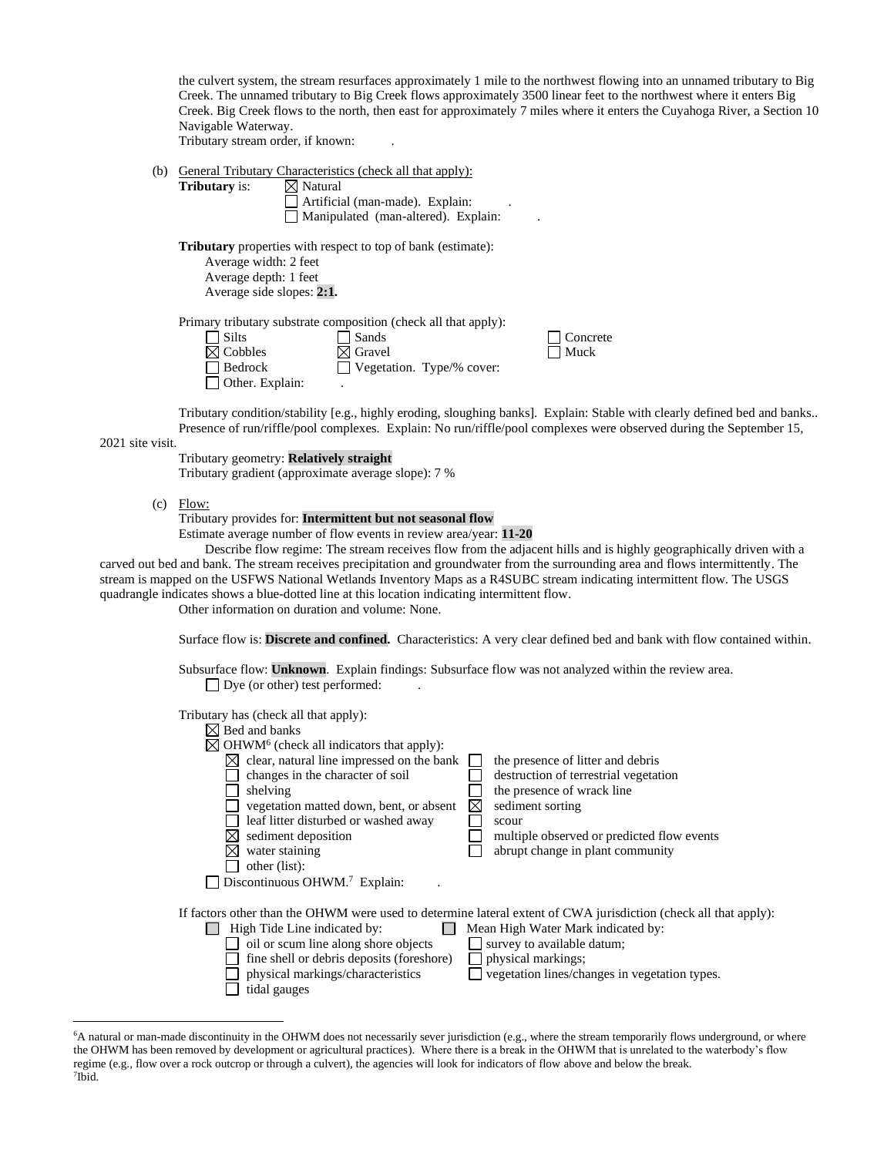the culvert system, the stream resurfaces approximately 1 mile to the northwest flowing into an unnamed tributary to Big Creek. The unnamed tributary to Big Creek flows approximately 3500 linear feet to the northwest where it enters Big Creek. Big Creek flows to the north, then east for approximately 7 miles where it enters the Cuyahoga River, a Section 10 Navigable Waterway.

Tributary stream order, if known: .

#### (b) General Tributary Characteristics (check all that apply):

| <b>Tributary</b> is: | $\boxtimes$ Natural |  |
|----------------------|---------------------|--|
|                      |                     |  |

 $\Box$  Artificial (man-made). Explain: Manipulated (man-altered). Explain: .

**Tributary** properties with respect to top of bank (estimate):

| Average width: 2 feet     |                                                                 |
|---------------------------|-----------------------------------------------------------------|
| Average depth: 1 feet     |                                                                 |
| Average side slopes: 2:1. |                                                                 |
|                           | Primary tributary substrate composition (check all that apply): |

| $\Box$ Silts           | $\Box$ Sands                     |
|------------------------|----------------------------------|
| $\boxtimes$ Cobbles    | $\boxtimes$ Gravel               |
| $\Box$ Bedrock         | $\Box$ Vegetation. Type/% cover: |
| $\Box$ Other. Explain: |                                  |

Tributary condition/stability [e.g., highly eroding, sloughing banks]. Explain: Stable with clearly defined bed and banks.. Presence of run/riffle/pool complexes. Explain: No run/riffle/pool complexes were observed during the September 15,

 $\Box$  Concrete  $\Box$  Muck

2021 site visit.

| Tributary geometry: <b>Relatively straight</b>      |  |
|-----------------------------------------------------|--|
| Tributary gradient (approximate average slope): 7 % |  |

(c) Flow:

Tributary provides for: **Intermittent but not seasonal flow**

Estimate average number of flow events in review area/year: **11-20**

Describe flow regime: The stream receives flow from the adjacent hills and is highly geographically driven with a carved out bed and bank. The stream receives precipitation and groundwater from the surrounding area and flows intermittently. The stream is mapped on the USFWS National Wetlands Inventory Maps as a R4SUBC stream indicating intermittent flow. The USGS quadrangle indicates shows a blue-dotted line at this location indicating intermittent flow.

Other information on duration and volume: None.

Surface flow is: **Discrete and confined.** Characteristics: A very clear defined bed and bank with flow contained within.

Subsurface flow: **Unknown**. Explain findings: Subsurface flow was not analyzed within the review area.  $\Box$  Dye (or other) test performed:

Tributary has (check all that apply):

| Bed and banks                                  |                                                                                                                  |
|------------------------------------------------|------------------------------------------------------------------------------------------------------------------|
| $OHWM6$ (check all indicators that apply):     |                                                                                                                  |
| clear, natural line impressed on the bank<br>⊠ | the presence of litter and debris                                                                                |
| changes in the character of soil               | destruction of terrestrial vegetation                                                                            |
| shelving                                       | the presence of wrack line                                                                                       |
| vegetation matted down, bent, or absent        | sediment sorting<br>⋈                                                                                            |
| leaf litter disturbed or washed away           | scour                                                                                                            |
| sediment deposition                            | multiple observed or predicted flow events                                                                       |
| water staining                                 | abrupt change in plant community                                                                                 |
| other (list):                                  |                                                                                                                  |
| Discontinuous OHWM. <sup>7</sup> Explain:      |                                                                                                                  |
|                                                |                                                                                                                  |
|                                                | If factors other than the OHWM were used to determine lateral extent of CWA jurisdiction (check all that apply): |
| High Tide Line indicated by:                   | Mean High Water Mark indicated by:                                                                               |
| oil or scum line along shore objects           | survey to available datum;                                                                                       |
| fine shell or debris deposits (foreshore)      | physical markings;                                                                                               |
| physical markings/characteristics              | vegetation lines/changes in vegetation types.                                                                    |
| tidal gauges                                   |                                                                                                                  |
|                                                |                                                                                                                  |

<sup>&</sup>lt;sup>6</sup>A natural or man-made discontinuity in the OHWM does not necessarily sever jurisdiction (e.g., where the stream temporarily flows underground, or where the OHWM has been removed by development or agricultural practices). Where there is a break in the OHWM that is unrelated to the waterbody's flow regime (e.g., flow over a rock outcrop or through a culvert), the agencies will look for indicators of flow above and below the break. 7 Ibid.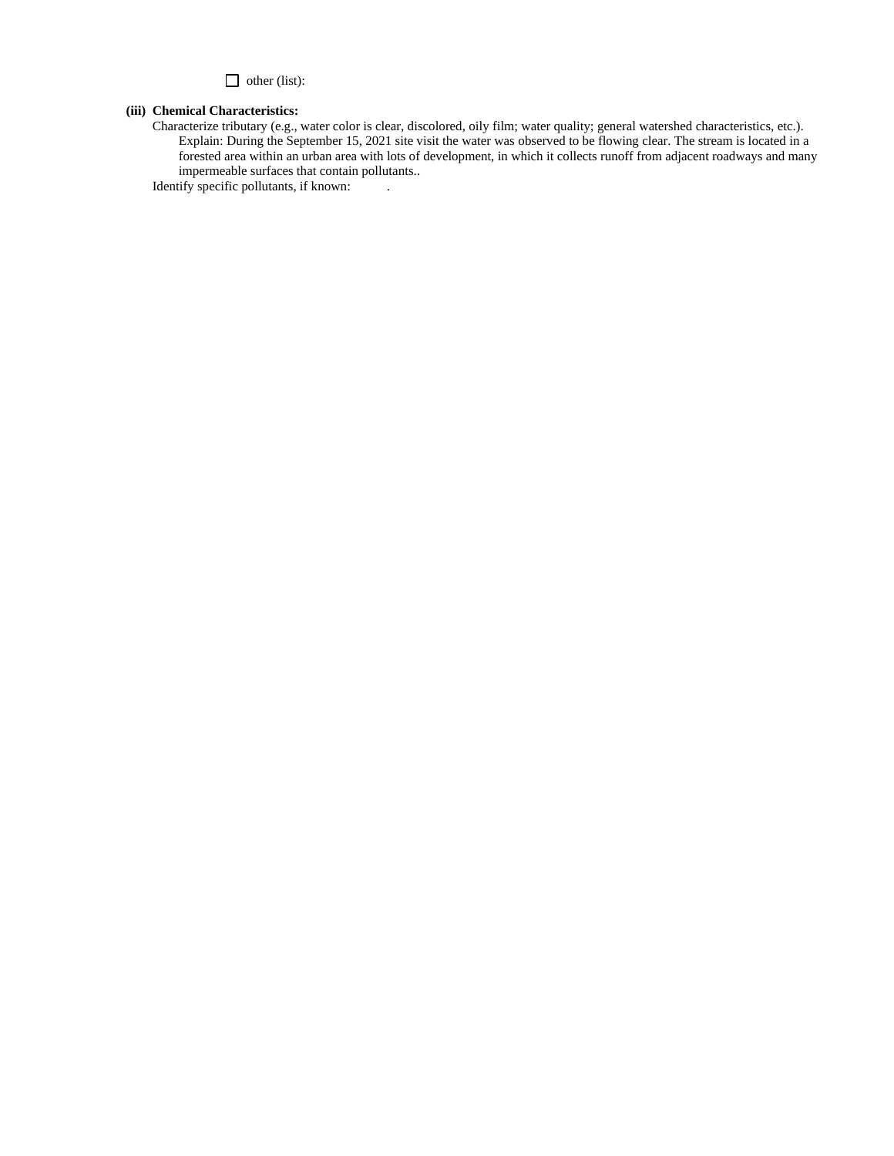other (list):

#### **(iii) Chemical Characteristics:**

Characterize tributary (e.g., water color is clear, discolored, oily film; water quality; general watershed characteristics, etc.). Explain: During the September 15, 2021 site visit the water was observed to be flowing clear. The stream is located in a forested area within an urban area with lots of development, in which it collects runoff from adjacent roadways and many impermeable surfaces that contain pollutants..

Identify specific pollutants, if known: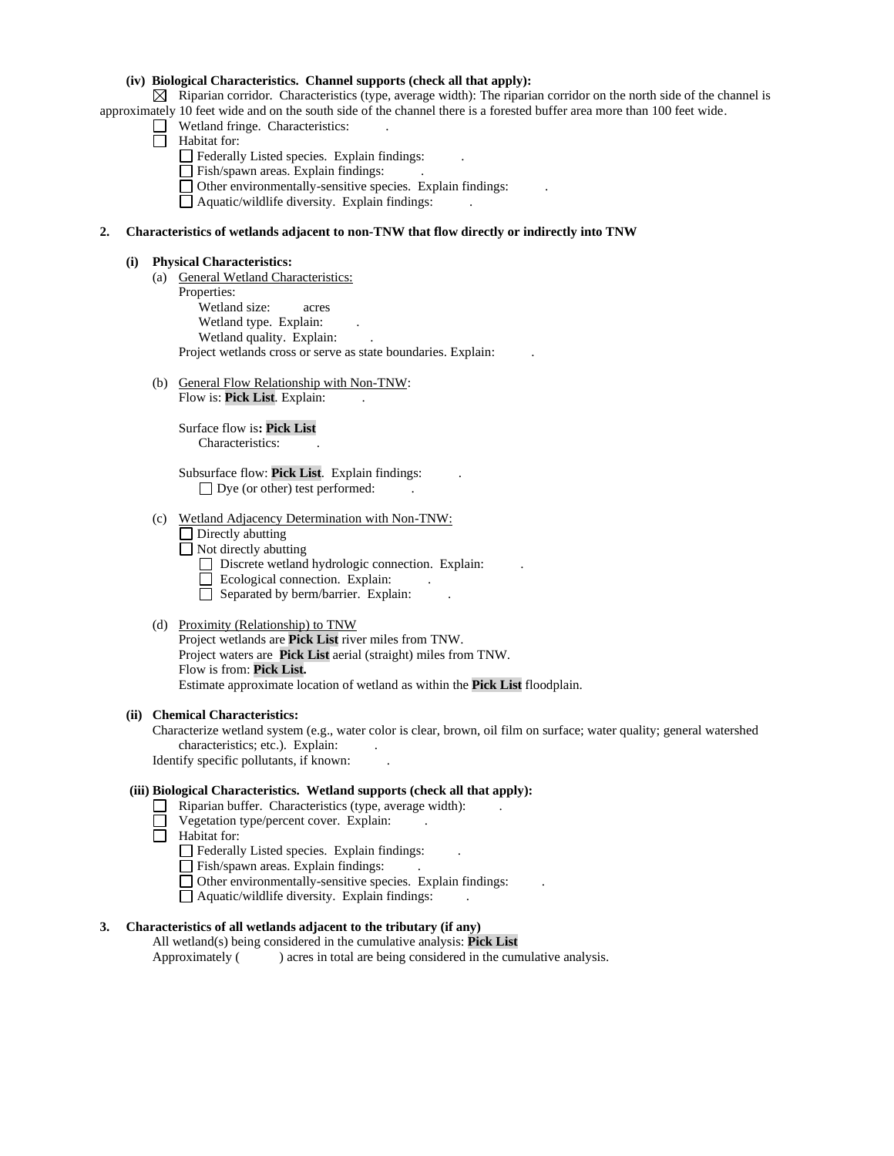### **(iv) Biological Characteristics. Channel supports (check all that apply):**

 $\boxtimes$  Riparian corridor. Characteristics (type, average width): The riparian corridor on the north side of the channel is approximately 10 feet wide and on the south side of the channel there is a forested buffer area more than 100 feet wide.

- $\Box$  Wetland fringe. Characteristics:
- $\Box$  Habitat for:
	- Federally Listed species. Explain findings: .
	- Fish/spawn areas. Explain findings:
	- Other environmentally-sensitive species. Explain findings: .
	- $\Box$  Aquatic/wildlife diversity. Explain findings:

### **2. Characteristics of wetlands adjacent to non-TNW that flow directly or indirectly into TNW**

#### **(i) Physical Characteristics:**

- (a) General Wetland Characteristics: Properties: Wetland size: acres Wetland type. Explain: Wetland quality. Explain: Project wetlands cross or serve as state boundaries. Explain: .
- (b) General Flow Relationship with Non-TNW: Flow is: Pick List. Explain:

Surface flow is**: Pick List**  Characteristics: .

Subsurface flow: **Pick List**. Explain findings: . □ Dye (or other) test performed:

- (c) Wetland Adjacency Determination with Non-TNW:
	- $\Box$  Directly abutting
	- $\Box$  Not directly abutting
		- Discrete wetland hydrologic connection. Explain:
		- Ecological connection. Explain:
		- $\Box$  Separated by berm/barrier. Explain:
- (d) Proximity (Relationship) to TNW

Project wetlands are **Pick List** river miles from TNW. Project waters are **Pick List** aerial (straight) miles from TNW. Flow is from: **Pick List.** Estimate approximate location of wetland as within the **Pick List** floodplain.

#### **(ii) Chemical Characteristics:**

Characterize wetland system (e.g., water color is clear, brown, oil film on surface; water quality; general watershed characteristics; etc.). Explain:

Identify specific pollutants, if known: .

### **(iii) Biological Characteristics. Wetland supports (check all that apply):**

- $\Box$  Riparian buffer. Characteristics (type, average width):
- $\Box$  Vegetation type/percent cover. Explain:
- **Habitat for:** 
	- Federally Listed species. Explain findings:
	- Fish/spawn areas. Explain findings:
	- Other environmentally-sensitive species. Explain findings: .
	- $\Box$  Aquatic/wildlife diversity. Explain findings:

## **3. Characteristics of all wetlands adjacent to the tributary (if any)**

All wetland(s) being considered in the cumulative analysis: **Pick List** Approximately ( ) acres in total are being considered in the cumulative analysis.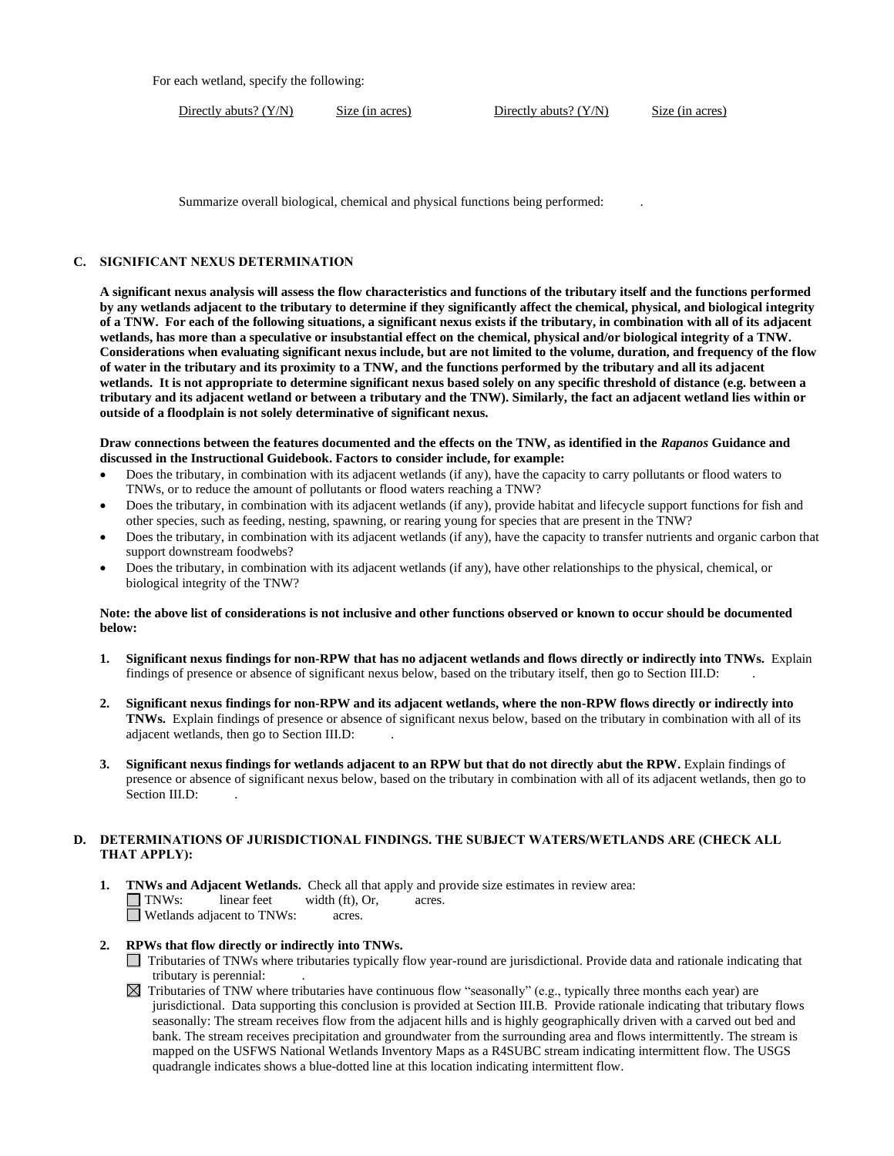For each wetland, specify the following:

Directly abuts? (Y/N) Size (in acres) Directly abuts? (Y/N) Size (in acres)

Summarize overall biological, chemical and physical functions being performed: .

### **C. SIGNIFICANT NEXUS DETERMINATION**

**A significant nexus analysis will assess the flow characteristics and functions of the tributary itself and the functions performed by any wetlands adjacent to the tributary to determine if they significantly affect the chemical, physical, and biological integrity of a TNW. For each of the following situations, a significant nexus exists if the tributary, in combination with all of its adjacent wetlands, has more than a speculative or insubstantial effect on the chemical, physical and/or biological integrity of a TNW. Considerations when evaluating significant nexus include, but are not limited to the volume, duration, and frequency of the flow of water in the tributary and its proximity to a TNW, and the functions performed by the tributary and all its adjacent wetlands. It is not appropriate to determine significant nexus based solely on any specific threshold of distance (e.g. between a tributary and its adjacent wetland or between a tributary and the TNW). Similarly, the fact an adjacent wetland lies within or outside of a floodplain is not solely determinative of significant nexus.** 

**Draw connections between the features documented and the effects on the TNW, as identified in the** *Rapanos* **Guidance and discussed in the Instructional Guidebook. Factors to consider include, for example:**

- Does the tributary, in combination with its adjacent wetlands (if any), have the capacity to carry pollutants or flood waters to TNWs, or to reduce the amount of pollutants or flood waters reaching a TNW?
- Does the tributary, in combination with its adjacent wetlands (if any), provide habitat and lifecycle support functions for fish and other species, such as feeding, nesting, spawning, or rearing young for species that are present in the TNW?
- Does the tributary, in combination with its adjacent wetlands (if any), have the capacity to transfer nutrients and organic carbon that support downstream foodwebs?
- Does the tributary, in combination with its adjacent wetlands (if any), have other relationships to the physical, chemical, or biological integrity of the TNW?

#### **Note: the above list of considerations is not inclusive and other functions observed or known to occur should be documented below:**

- **1. Significant nexus findings for non-RPW that has no adjacent wetlands and flows directly or indirectly into TNWs.** Explain findings of presence or absence of significant nexus below, based on the tributary itself, then go to Section III.D: .
- **2. Significant nexus findings for non-RPW and its adjacent wetlands, where the non-RPW flows directly or indirectly into TNWs.** Explain findings of presence or absence of significant nexus below, based on the tributary in combination with all of its adjacent wetlands, then go to Section III.D: .
- **3. Significant nexus findings for wetlands adjacent to an RPW but that do not directly abut the RPW.** Explain findings of presence or absence of significant nexus below, based on the tributary in combination with all of its adjacent wetlands, then go to Section III.D:

## **D. DETERMINATIONS OF JURISDICTIONAL FINDINGS. THE SUBJECT WATERS/WETLANDS ARE (CHECK ALL THAT APPLY):**

**1. TNWs and Adjacent Wetlands.** Check all that apply and provide size estimates in review area: TNWs: linear feet width (ft), Or, acres. Wetlands adjacent to TNWs: acres.

## **2. RPWs that flow directly or indirectly into TNWs.**

- Tributaries of TNWs where tributaries typically flow year-round are jurisdictional. Provide data and rationale indicating that tributary is perennial: .
- $\boxtimes$  Tributaries of TNW where tributaries have continuous flow "seasonally" (e.g., typically three months each year) are jurisdictional. Data supporting this conclusion is provided at Section III.B. Provide rationale indicating that tributary flows seasonally: The stream receives flow from the adjacent hills and is highly geographically driven with a carved out bed and bank. The stream receives precipitation and groundwater from the surrounding area and flows intermittently. The stream is mapped on the USFWS National Wetlands Inventory Maps as a R4SUBC stream indicating intermittent flow. The USGS quadrangle indicates shows a blue-dotted line at this location indicating intermittent flow.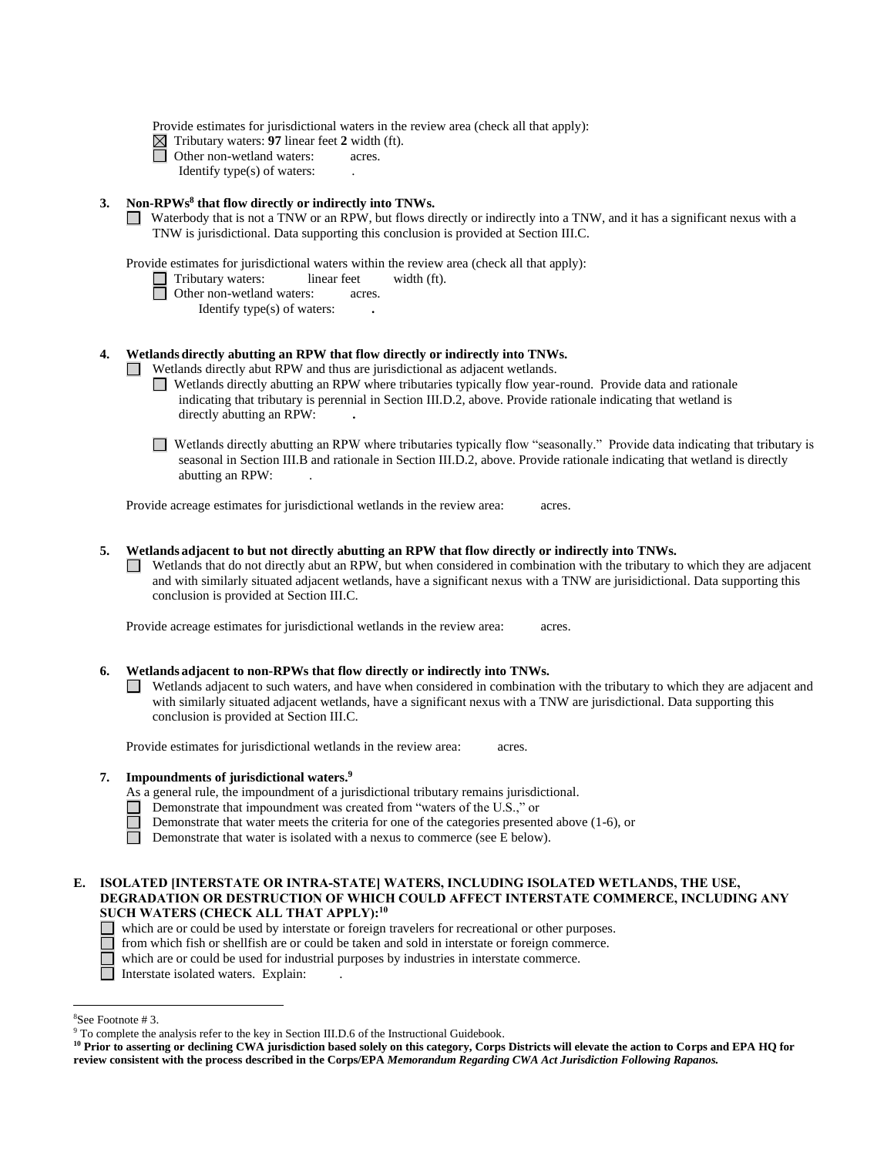Provide estimates for jurisdictional waters in the review area (check all that apply):

- $\boxtimes$  Tributary waters: **97** linear feet 2 width (ft).
- Other non-wetland waters: acres.
	- Identify type(s) of waters: .

### **3. Non-RPWs<sup>8</sup> that flow directly or indirectly into TNWs.**

Waterbody that is not a TNW or an RPW, but flows directly or indirectly into a TNW, and it has a significant nexus with a TNW is jurisdictional. Data supporting this conclusion is provided at Section III.C.

Provide estimates for jurisdictional waters within the review area (check all that apply):

- Tributary waters: linear feet width (ft).
- □ Other non-wetland waters: acres.
	- Identify type(s) of waters: **.**

### **4. Wetlands directly abutting an RPW that flow directly or indirectly into TNWs.**

Wetlands directly abut RPW and thus are jurisdictional as adjacent wetlands.

- Wetlands directly abutting an RPW where tributaries typically flow year-round. Provide data and rationale indicating that tributary is perennial in Section III.D.2, above. Provide rationale indicating that wetland is directly abutting an RPW: **.**
- Wetlands directly abutting an RPW where tributaries typically flow "seasonally." Provide data indicating that tributary is seasonal in Section III.B and rationale in Section III.D.2, above. Provide rationale indicating that wetland is directly abutting an RPW: .

Provide acreage estimates for jurisdictional wetlands in the review area: acres.

#### **5. Wetlands adjacent to but not directly abutting an RPW that flow directly or indirectly into TNWs.**

 $\Box$  Wetlands that do not directly abut an RPW, but when considered in combination with the tributary to which they are adjacent and with similarly situated adjacent wetlands, have a significant nexus with a TNW are jurisidictional. Data supporting this conclusion is provided at Section III.C.

Provide acreage estimates for jurisdictional wetlands in the review area: acres.

#### **6. Wetlands adjacent to non-RPWs that flow directly or indirectly into TNWs.**

 $\Box$  Wetlands adjacent to such waters, and have when considered in combination with the tributary to which they are adjacent and with similarly situated adjacent wetlands, have a significant nexus with a TNW are jurisdictional. Data supporting this conclusion is provided at Section III.C.

Provide estimates for jurisdictional wetlands in the review area: acres.

#### **7. Impoundments of jurisdictional waters. 9**

- As a general rule, the impoundment of a jurisdictional tributary remains jurisdictional.
- Demonstrate that impoundment was created from "waters of the U.S.," or
	- Demonstrate that water meets the criteria for one of the categories presented above (1-6), or

 $\Box$ Demonstrate that water is isolated with a nexus to commerce (see E below).

#### **E. ISOLATED [INTERSTATE OR INTRA-STATE] WATERS, INCLUDING ISOLATED WETLANDS, THE USE, DEGRADATION OR DESTRUCTION OF WHICH COULD AFFECT INTERSTATE COMMERCE, INCLUDING ANY SUCH WATERS (CHECK ALL THAT APPLY):<sup>10</sup>**

- which are or could be used by interstate or foreign travelers for recreational or other purposes.
	- from which fish or shellfish are or could be taken and sold in interstate or foreign commerce.
	- which are or could be used for industrial purposes by industries in interstate commerce.
- Interstate isolated waters.Explain: .

<sup>8</sup>See Footnote # 3.

<sup>&</sup>lt;sup>9</sup> To complete the analysis refer to the key in Section III.D.6 of the Instructional Guidebook.

**<sup>10</sup> Prior to asserting or declining CWA jurisdiction based solely on this category, Corps Districts will elevate the action to Corps and EPA HQ for review consistent with the process described in the Corps/EPA** *Memorandum Regarding CWA Act Jurisdiction Following Rapanos.*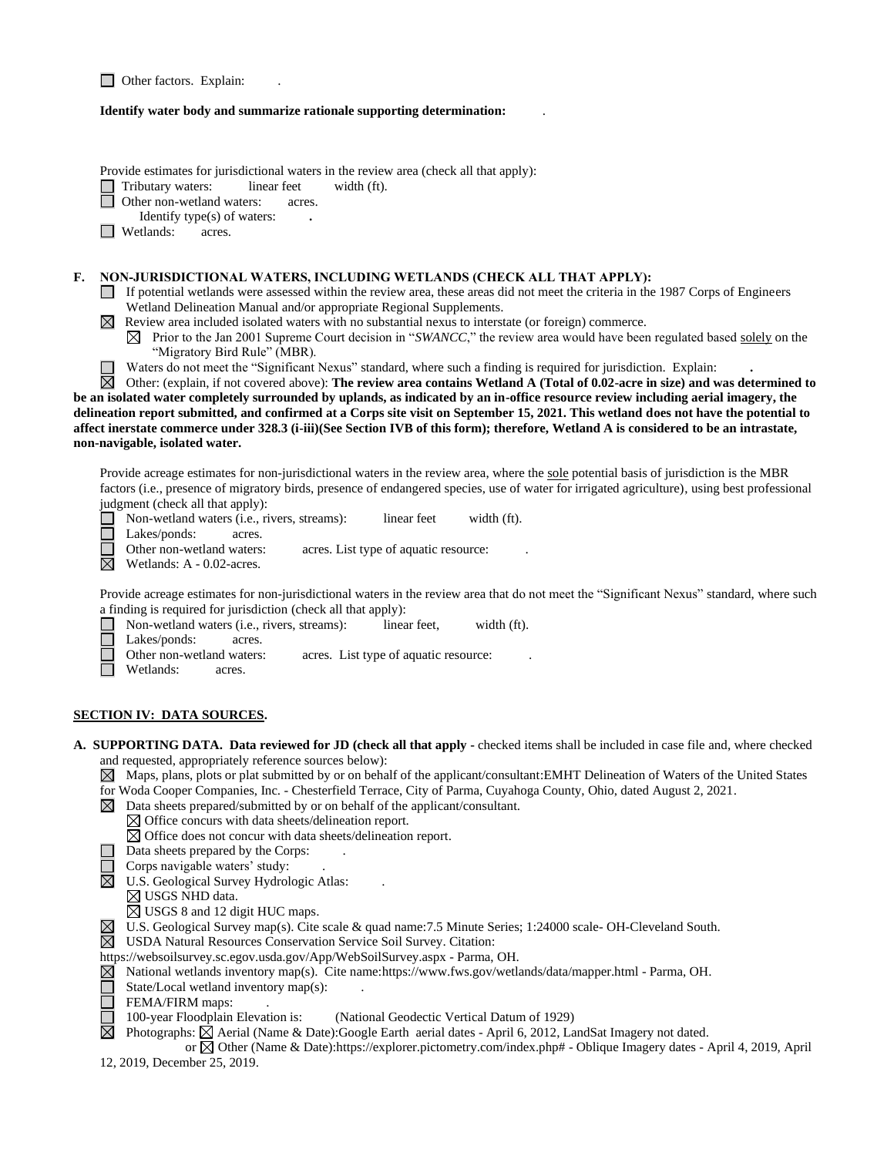| $\Box$ Other factors. Explain: |  |  |
|--------------------------------|--|--|
|--------------------------------|--|--|

#### **Identify water body and summarize rationale supporting determination:** .

Provide estimates for jurisdictional waters in the review area (check all that apply):

Tributary waters: linear feet width (ft).

- Other non-wetland waters: acres.
- Identify type(s) of waters: **.**
- **Netlands:** acres.

#### **F. NON-JURISDICTIONAL WATERS, INCLUDING WETLANDS (CHECK ALL THAT APPLY):**

- If potential wetlands were assessed within the review area, these areas did not meet the criteria in the 1987 Corps of Engineers Wetland Delineation Manual and/or appropriate Regional Supplements.
- $\boxtimes$  Review area included isolated waters with no substantial nexus to interstate (or foreign) commerce.
	- $\boxtimes$  Prior to the Jan 2001 Supreme Court decision in "*SWANCC*," the review area would have been regulated based solely on the "Migratory Bird Rule" (MBR).
	- Waters do not meet the "Significant Nexus" standard, where such a finding is required for jurisdiction. Explain: **.**

岗 Other: (explain, if not covered above): **The review area contains Wetland A (Total of 0.02-acre in size) and was determined to be an isolated water completely surrounded by uplands, as indicated by an in-office resource review including aerial imagery, the delineation report submitted, and confirmed at a Corps site visit on September 15, 2021. This wetland does not have the potential to affect inerstate commerce under 328.3 (i-iii)(See Section IVB of this form); therefore, Wetland A is considered to be an intrastate, non-navigable, isolated water.**

Provide acreage estimates for non-jurisdictional waters in the review area, where the sole potential basis of jurisdiction is the MBR factors (i.e., presence of migratory birds, presence of endangered species, use of water for irrigated agriculture), using best professional judgment (check all that apply):

■ Non-wetland waters (i.e., rivers, streams): linear feet width (ft). П Lakes/ponds: acres. Other non-wetland waters: acres. List type of aquatic resource:

 $\overline{\boxtimes}$ Wetlands: A - 0.02-acres.

Provide acreage estimates for non-jurisdictional waters in the review area that do not meet the "Significant Nexus" standard, where such a finding is required for jurisdiction (check all that apply):

- П Non-wetland waters (i.e., rivers, streams): linear feet, width (ft).
- $\Box$ Lakes/ponds: acres.
	- Other non-wetland waters: acres. List type of aquatic resource:
- П Wetlands: acres.

## **SECTION IV: DATA SOURCES.**

**A. SUPPORTING DATA. Data reviewed for JD (check all that apply -** checked items shall be included in case file and, where checked and requested, appropriately reference sources below):

Maps, plans, plots or plat submitted by or on behalf of the applicant/consultant:EMHT Delineation of Waters of the United States for Woda Cooper Companies, Inc. - Chesterfield Terrace, City of Parma, Cuyahoga County, Ohio, dated August 2, 2021.

- $\boxtimes$  Data sheets prepared/submitted by or on behalf of the applicant/consultant.
	- $\boxtimes$  Office concurs with data sheets/delineation report.
		- $\boxtimes$  Office does not concur with data sheets/delineation report.
- $\Box$  Data sheets prepared by the Corps:
- Corps navigable waters' study: .
- $\boxtimes$  U.S. Geological Survey Hydrologic Atlas:
	- $\boxtimes$  USGS NHD data.
	- ⊠ USGS 8 and 12 digit HUC maps.
- U.S. Geological Survey map(s). Cite scale & quad name:7.5 Minute Series; 1:24000 scale- OH-Cleveland South.
- USDA Natural Resources Conservation Service Soil Survey. Citation:
- https://websoilsurvey.sc.egov.usda.gov/App/WebSoilSurvey.aspx Parma, OH.
- National wetlands inventory map(s). Cite name:https://www.fws.gov/wetlands/data/mapper.html Parma, OH.
- Ĕ State/Local wetland inventory map(s): .
- FEMA/FIRM maps:

⊠

100-year Floodplain Elevation is: (National Geodectic Vertical Datum of 1929)

Photographs:  $\boxtimes$  Aerial (Name & Date):Google Earth aerial dates - April 6, 2012, LandSat Imagery not dated.

 or Other (Name & Date):https://explorer.pictometry.com/index.php# - Oblique Imagery dates - April 4, 2019, April 12, 2019, December 25, 2019.